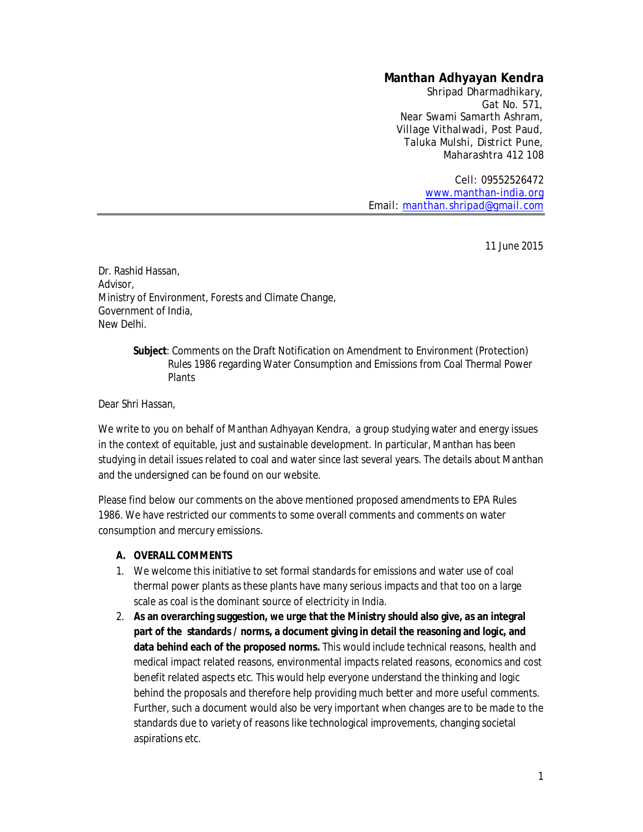# **Manthan Adhyayan Kendra**

Shripad Dharmadhikary, Gat No. 571, Near Swami Samarth Ashram, Village Vithalwadi, Post Paud, Taluka Mulshi, District Pune, Maharashtra 412 108

Cell: 09552526472 www.manthan-india.org Email: manthan.shripad@gmail.com

11 June 2015

Dr. Rashid Hassan, Advisor, Ministry of Environment, Forests and Climate Change, Government of India, New Delhi.

> **Subject**: Comments on the Draft Notification on Amendment to Environment (Protection) Rules 1986 regarding Water Consumption and Emissions from Coal Thermal Power Plants

Dear Shri Hassan,

We write to you on behalf of Manthan Adhyayan Kendra, a group studying water and energy issues in the context of equitable, just and sustainable development. In particular, Manthan has been studying in detail issues related to coal and water since last several years. The details about Manthan and the undersigned can be found on our website.

Please find below our comments on the above mentioned proposed amendments to EPA Rules 1986. We have restricted our comments to some overall comments and comments on water consumption and mercury emissions.

### **A. OVERALL COMMENTS**

- 1. We welcome this initiative to set formal standards for emissions and water use of coal thermal power plants as these plants have many serious impacts and that too on a large scale as coal is the dominant source of electricity in India.
- 2. **As an overarching suggestion, we urge that the Ministry should also give, as an integral part of the standards / norms, a document giving in detail the reasoning and logic, and data behind each of the proposed norms.** This would include technical reasons, health and medical impact related reasons, environmental impacts related reasons, economics and cost benefit related aspects etc. This would help everyone understand the thinking and logic behind the proposals and therefore help providing much better and more useful comments. Further, such a document would also be very important when changes are to be made to the standards due to variety of reasons like technological improvements, changing societal aspirations etc.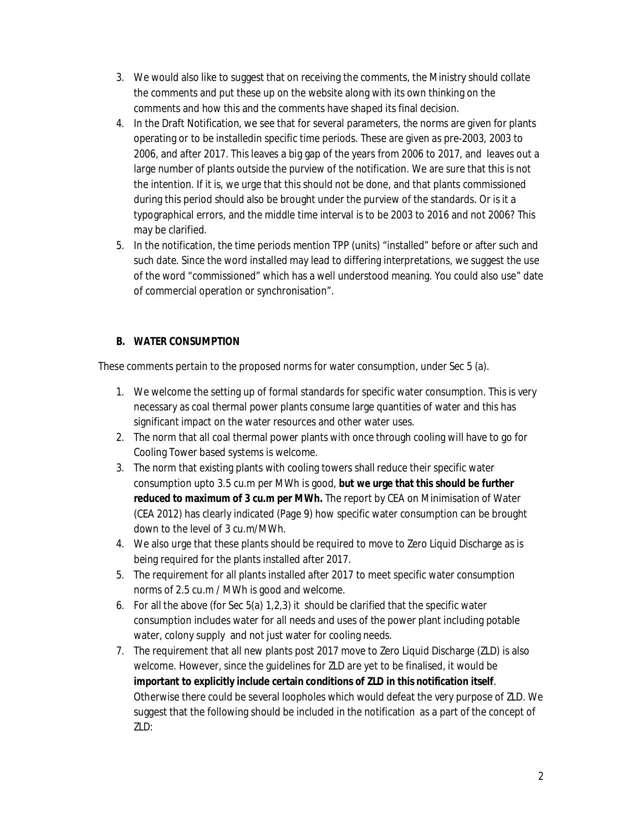- 3. We would also like to suggest that on receiving the comments, the Ministry should collate the comments and put these up on the website along with its own thinking on the comments and how this and the comments have shaped its final decision.
- 4. In the Draft Notification, we see that for several parameters, the norms are given for plants operating or to be installedin specific time periods. These are given as pre-2003, 2003 to 2006, and after 2017. This leaves a big gap of the years from 2006 to 2017, and leaves out a large number of plants outside the purview of the notification. We are sure that this is not the intention. If it is, we urge that this should not be done, and that plants commissioned during this period should also be brought under the purview of the standards. Or is it a typographical errors, and the middle time interval is to be 2003 to 2016 and not 2006? This may be clarified.
- 5. In the notification, the time periods mention TPP (units) "installed" before or after such and such date. Since the word installed may lead to differing interpretations, we suggest the use of the word "commissioned" which has a well understood meaning. You could also use" date of commercial operation or synchronisation".

# **B. WATER CONSUMPTION**

These comments pertain to the proposed norms for water consumption, under Sec 5 (a).

- 1. We welcome the setting up of formal standards for specific water consumption. This is very necessary as coal thermal power plants consume large quantities of water and this has significant impact on the water resources and other water uses.
- 2. The norm that all coal thermal power plants with once through cooling will have to go for Cooling Tower based systems is welcome.
- 3. The norm that existing plants with cooling towers shall reduce their specific water consumption upto 3.5 cu.m per MWh is good, **but we urge that this should be further reduced to maximum of 3 cu.m per MWh.** The report by CEA on Minimisation of Water (CEA 2012) has clearly indicated (Page 9) how specific water consumption can be brought down to the level of 3 cu.m/MWh.
- 4. We also urge that these plants should be required to move to Zero Liquid Discharge as is being required for the plants installed after 2017.
- 5. The requirement for all plants installed after 2017 to meet specific water consumption norms of 2.5 cu.m / MWh is good and welcome.
- 6. For all the above (for Sec 5(a) 1,2,3) it should be clarified that the specific water consumption includes water for all needs and uses of the power plant including potable water, colony supply and not just water for cooling needs.
- 7. The requirement that all new plants post 2017 move to Zero Liquid Discharge (ZLD) is also welcome. However, since the guidelines for ZLD are yet to be finalised, it would be **important to explicitly include certain conditions of ZLD in this notification itself**. Otherwise there could be several loopholes which would defeat the very purpose of ZLD. We suggest that the following should be included in the notification as a part of the concept of ZLD: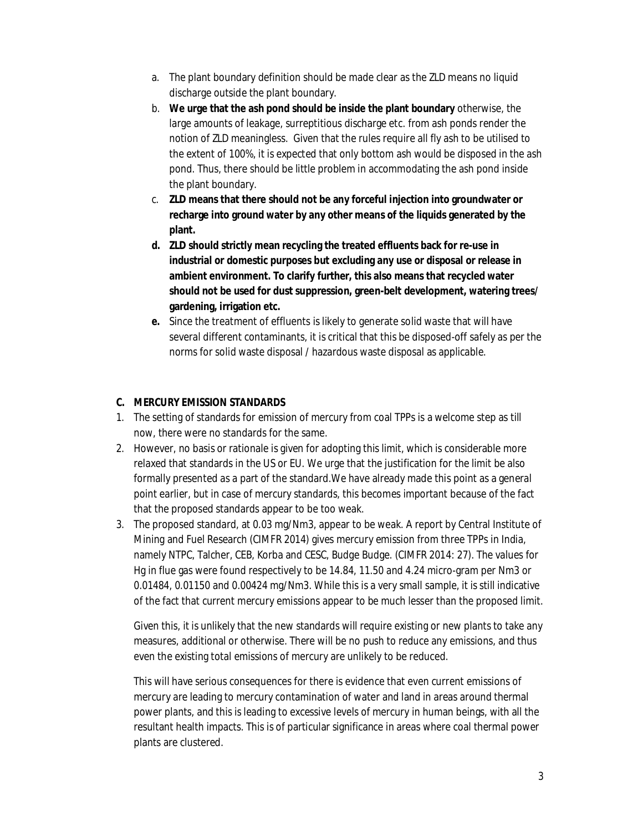- a. The plant boundary definition should be made clear as the ZLD means no liquid discharge outside the plant boundary.
- b. **We urge that the ash pond should be inside the plant boundary** otherwise, the large amounts of leakage, surreptitious discharge etc. from ash ponds render the notion of ZLD meaningless. Given that the rules require all fly ash to be utilised to the extent of 100%, it is expected that only bottom ash would be disposed in the ash pond. Thus, there should be little problem in accommodating the ash pond inside the plant boundary.
- c. **ZLD means that there should not be any forceful injection into groundwater or recharge into ground water by any other means of the liquids generated by the plant.**
- **d. ZLD should strictly mean recycling the treated effluents back for re-use in industrial or domestic purposes but excluding any use or disposal or release in ambient environment. To clarify further, this also means that recycled water should not be used for dust suppression, green-belt development, watering trees/ gardening, irrigation etc.**
- **e.** Since the treatment of effluents is likely to generate solid waste that will have several different contaminants, it is critical that this be disposed-off safely as per the norms for solid waste disposal / hazardous waste disposal as applicable.

## **C. MERCURY EMISSION STANDARDS**

- 1. The setting of standards for emission of mercury from coal TPPs is a welcome step as till now, there were no standards for the same.
- 2. However, no basis or rationale is given for adopting this limit, which is considerable more relaxed that standards in the US or EU. We urge that the justification for the limit be also formally presented as a part of the standard.We have already made this point as a general point earlier, but in case of mercury standards, this becomes important because of the fact that the proposed standards appear to be too weak.
- 3. The proposed standard, at 0.03 mg/Nm3, appear to be weak. A report by Central Institute of Mining and Fuel Research (CIMFR 2014) gives mercury emission from three TPPs in India, namely NTPC, Talcher, CEB, Korba and CESC, Budge Budge. (CIMFR 2014: 27). The values for Hg in flue gas were found respectively to be 14.84, 11.50 and 4.24 micro-gram per Nm3 or 0.01484, 0.01150 and 0.00424 mg/Nm3. While this is a very small sample, it is still indicative of the fact that current mercury emissions appear to be much lesser than the proposed limit.

Given this, it is unlikely that the new standards will require existing or new plants to take any measures, additional or otherwise. There will be no push to reduce any emissions, and thus even the existing total emissions of mercury are unlikely to be reduced.

This will have serious consequences for there is evidence that even current emissions of mercury are leading to mercury contamination of water and land in areas around thermal power plants, and this is leading to excessive levels of mercury in human beings, with all the resultant health impacts. This is of particular significance in areas where coal thermal power plants are clustered.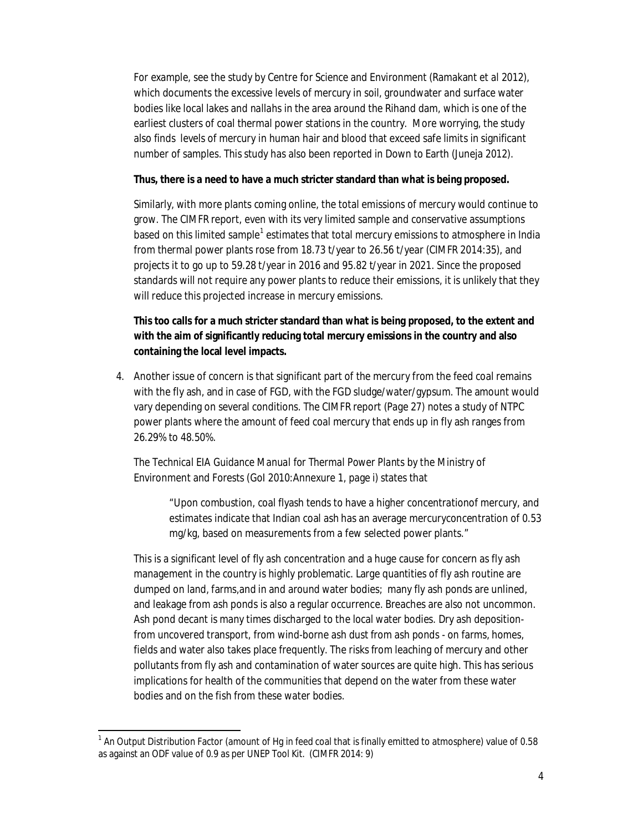For example, see the study by Centre for Science and Environment (Ramakant *et al* 2012), which documents the excessive levels of mercury in soil, groundwater and surface water bodies like local lakes and *nallahs* in the area around the Rihand dam, which is one of the earliest clusters of coal thermal power stations in the country. More worrying, the study also finds levels of mercury in human hair and blood that exceed safe limits in significant number of samples. This study has also been reported in Down to Earth (Juneja 2012).

#### **Thus, there is a need to have a much stricter standard than what is being proposed.**

Similarly, with more plants coming online, the total emissions of mercury would continue to grow. The CIMFR report, even with its very limited sample and conservative assumptions based on this limited sample<sup>1</sup> estimates that total mercury emissions to atmosphere in India from thermal power plants rose from 18.73 t/year to 26.56 t/year (CIMFR 2014:35), and projects it to go up to 59.28 t/year in 2016 and 95.82 t/year in 2021. Since the proposed standards will not require any power plants to reduce their emissions, it is unlikely that they will reduce this projected increase in mercury emissions.

# **This too calls for a much stricter standard than what is being proposed, to the extent and with the aim of significantly reducing total mercury emissions in the country and also containing the local level impacts.**

4. Another issue of concern is that significant part of the mercury from the feed coal remains with the fly ash, and in case of FGD, with the FGD sludge/water/gypsum. The amount would vary depending on several conditions. The CIMFR report (Page 27) notes a study of NTPC power plants where the amount of feed coal mercury that ends up in fly ash ranges from 26.29% to 48.50%.

The *Technical EIA Guidance Manual for Thermal Power Plants* by the Ministry of Environment and Forests (GoI 2010:Annexure 1, page i) states that

> "Upon combustion, coal flyash tends to have a higher concentrationof mercury, and estimates indicate that Indian coal ash has an average mercuryconcentration of 0.53 mg/kg, based on measurements from a few selected power plants."

This is a significant level of fly ash concentration and a huge cause for concern as fly ash management in the country is highly problematic. Large quantities of fly ash routine are dumped on land, farms,and in and around water bodies; many fly ash ponds are unlined, and leakage from ash ponds is also a regular occurrence. Breaches are also not uncommon. Ash pond decant is many times discharged to the local water bodies. Dry ash depositionfrom uncovered transport, from wind-borne ash dust from ash ponds - on farms, homes, fields and water also takes place frequently. The risks from leaching of mercury and other pollutants from fly ash and contamination of water sources are quite high. This has serious implications for health of the communities that depend on the water from these water bodies and on the fish from these water bodies.

1

<sup>&</sup>lt;sup>1</sup> An Output Distribution Factor (amount of Hg in feed coal that is finally emitted to atmosphere) value of 0.58 as against an ODF value of 0.9 as per UNEP Tool Kit. (CIMFR 2014: 9)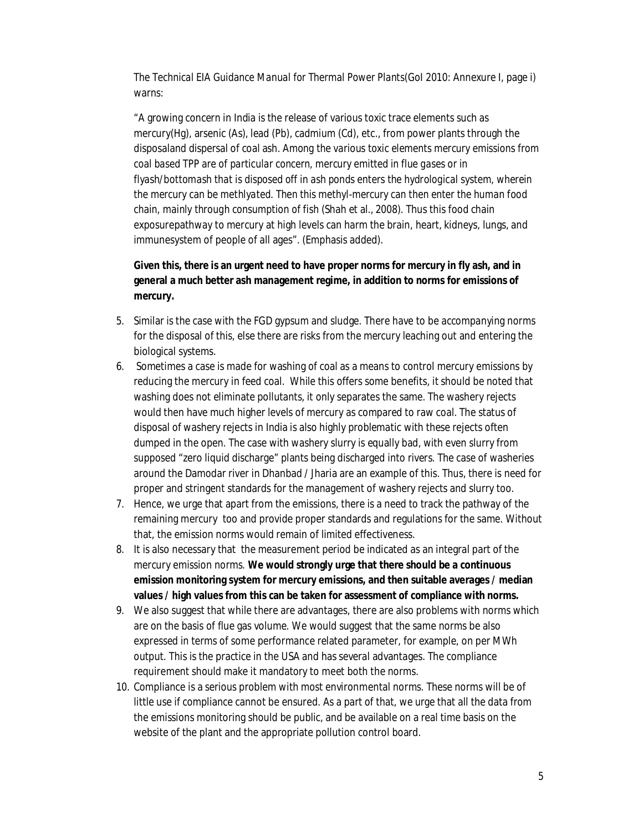The *Technical EIA Guidance Manual for Thermal Power Plants*(GoI 2010: Annexure I, page i) warns:

"A growing concern in India is the release of various toxic trace elements such as mercury(Hg), arsenic (As), lead (Pb), cadmium (Cd), etc., from power plants through the disposaland dispersal of coal ash. *Among the various toxic elements mercury emissions from coal based TPP are of particular concern, mercury emitted in flue gases or in flyash/bottomash that is disposed off in ash ponds enters the hydrological system, wherein the mercury can be methlyated. Then this methyl-mercury can then enter the human food chain, mainly through consumption of fish* (Shah et al., 2008). Thus this food chain exposurepathway to mercury at high levels can harm the brain, heart, kidneys, lungs, and immunesystem of people of all ages". (Emphasis added).

**Given this, there is an urgent need to have proper norms for mercury in fly ash, and in general a much better ash management regime, in addition to norms for emissions of mercury.** 

- 5. Similar is the case with the FGD gypsum and sludge. There have to be accompanying norms for the disposal of this, else there are risks from the mercury leaching out and entering the biological systems.
- 6. Sometimes a case is made for washing of coal as a means to control mercury emissions by reducing the mercury in feed coal. While this offers some benefits, it should be noted that washing does not eliminate pollutants, it only separates the same. The washery rejects would then have much higher levels of mercury as compared to raw coal. The status of disposal of washery rejects in India is also highly problematic with these rejects often dumped in the open. The case with washery slurry is equally bad, with even slurry from supposed "zero liquid discharge" plants being discharged into rivers. The case of washeries around the Damodar river in Dhanbad / Jharia are an example of this. Thus, there is need for proper and stringent standards for the management of washery rejects and slurry too.
- 7. Hence, we urge that apart from the emissions, there is a need to track the pathway of the remaining mercury too and provide proper standards and regulations for the same. Without that, the emission norms would remain of limited effectiveness.
- 8. It is also necessary that the measurement period be indicated as an integral part of the mercury emission norms. **We would strongly urge that there should be a continuous emission monitoring system for mercury emissions, and then suitable averages / median values / high values from this can be taken for assessment of compliance with norms.**
- 9. We also suggest that while there are advantages, there are also problems with norms which are on the basis of flue gas volume. We would suggest that the same norms be also expressed in terms of some performance related parameter, for example, on per MWh output. This is the practice in the USA and has several advantages. The compliance requirement should make it mandatory to meet both the norms.
- 10. Compliance is a serious problem with most environmental norms. These norms will be of little use if compliance cannot be ensured. As a part of that, we urge that all the data from the emissions monitoring should be public, and be available on a real time basis on the website of the plant and the appropriate pollution control board.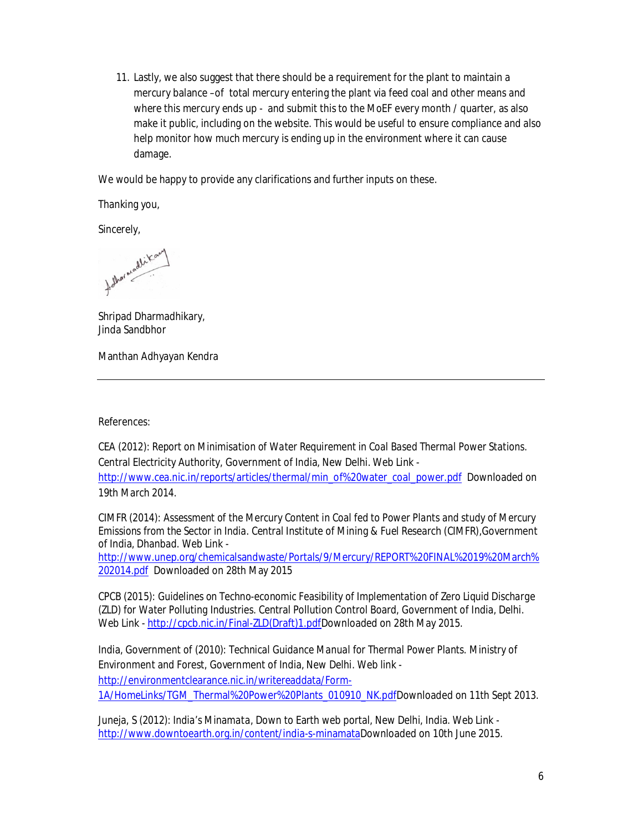11. Lastly, we also suggest that there should be a requirement for the plant to maintain a mercury balance –of total mercury entering the plant via feed coal and other means and where this mercury ends up - and submit this to the MoEF every month / quarter, as also make it public, including on the website. This would be useful to ensure compliance and also help monitor how much mercury is ending up in the environment where it can cause damage.

We would be happy to provide any clarifications and further inputs on these.

Thanking you,

Sincerely,

Adhormodlikan

Shripad Dharmadhikary, Jinda Sandbhor

Manthan Adhyayan Kendra

References:

CEA (2012): *Report on Minimisation of Water Requirement in Coal Based Thermal Power Stations.* Central Electricity Authority, Government of India, New Delhi. Web Link http://www.cea.nic.in/reports/articles/thermal/min\_of%20water\_coal\_power.pdf Downloaded on 19th March 2014.

CIMFR (2014): *Assessment of the Mercury Content in Coal fed to Power Plants and study of Mercury Emissions from the Sector in India.* Central Institute of Mining & Fuel Research (CIMFR),Government of India, Dhanbad. Web Link -

http://www.unep.org/chemicalsandwaste/Portals/9/Mercury/REPORT%20FINAL%2019%20March% 202014.pdf Downloaded on 28th May 2015

CPCB (2015): *Guidelines on Techno-economic Feasibility of Implementation of Zero Liquid Discharge (ZLD) for Water Polluting Industries.* Central Pollution Control Board, Government of India, Delhi. Web Link - http://cpcb.nic.in/Final-ZLD(Draft)1.pdfDownloaded on 28th May 2015.

India, Government of (2010): *Technical Guidance Manual for Thermal Power Plants.* Ministry of Environment and Forest, Government of India, New Delhi. Web link http://environmentclearance.nic.in/writereaddata/Form-1A/HomeLinks/TGM\_Thermal%20Power%20Plants\_010910\_NK.pdfDownloaded on 11th Sept 2013.

Juneja, S (2012): *India's Minamata*, Down to Earth web portal, New Delhi, India. Web Link http://www.downtoearth.org.in/content/india-s-minamataDownloaded on 10th June 2015.